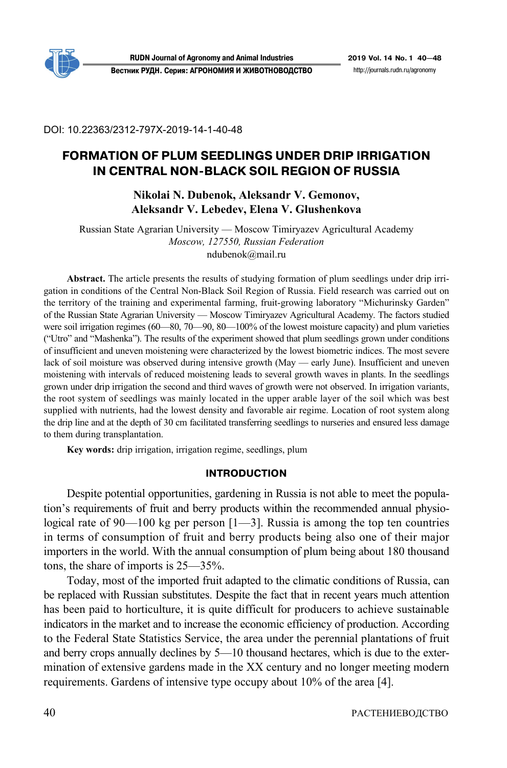

**RUDN Journal of Agronomy and Animal Industries 2019 Vol. 14 No. 1 40—48 Вестник РУДН. Серия: АГРОНОМИЯ И ЖИВОТНОВОДСТВО** http://journals.rudn.ru/agronomy

DOI: 10.22363/2312-797X-2019-14-1-40-48

# **FORMATION OF PLUM SEEDLINGS UNDER DRIP IRRIGATION IN CENTRAL NON4BLACK SOIL REGION OF RUSSIA**

# **Nikolai N. Dubenok, Aleksandr V. Gemonov, Aleksandr V. Lebedev, Elena V. Glushenkova**

Russian State Agrarian University — Moscow Timiryazev Agricultural Academy *Moscow, 127550, Russian Federation*  ndubenok@mail.ru

**Abstract.** The article presents the results of studying formation of plum seedlings under drip irrigation in conditions of the Central Non-Black Soil Region of Russia. Field research was carried out on the territory of the training and experimental farming, fruit-growing laboratory "Michurinsky Garden" of the Russian State Agrarian University — Moscow Timiryazev Agricultural Academy. The factors studied were soil irrigation regimes (60—80, 70—90, 80—100% of the lowest moisture capacity) and plum varieties ("Utro" and "Mashenka"). The results of the experiment showed that plum seedlings grown under conditions of insufficient and uneven moistening were characterized by the lowest biometric indices. The most severe lack of soil moisture was observed during intensive growth (May — early June). Insufficient and uneven moistening with intervals of reduced moistening leads to several growth waves in plants. In the seedlings grown under drip irrigation the second and third waves of growth were not observed. In irrigation variants, the root system of seedlings was mainly located in the upper arable layer of the soil which was best supplied with nutrients, had the lowest density and favorable air regime. Location of root system along the drip line and at the depth of 30 cm facilitated transferring seedlings to nurseries and ensured less damage to them during transplantation.

**Key words:** drip irrigation, irrigation regime, seedlings, plum

### **INTRODUCTION**

Despite potential opportunities, gardening in Russia is not able to meet the population's requirements of fruit and berry products within the recommended annual physiological rate of 90—100 kg per person [1—3]. Russia is among the top ten countries in terms of consumption of fruit and berry products being also one of their major importers in the world. With the annual consumption of plum being about 180 thousand tons, the share of imports is 25—35%.

Today, most of the imported fruit adapted to the climatic conditions of Russia, can be replaced with Russian substitutes. Despite the fact that in recent years much attention has been paid to horticulture, it is quite difficult for producers to achieve sustainable indicators in the market and to increase the economic efficiency of production. According to the Federal State Statistics Service, the area under the perennial plantations of fruit and berry crops annually declines by 5—10 thousand hectares, which is due to the extermination of extensive gardens made in the XX century and no longer meeting modern requirements. Gardens of intensive type occupy about 10% of the area [4].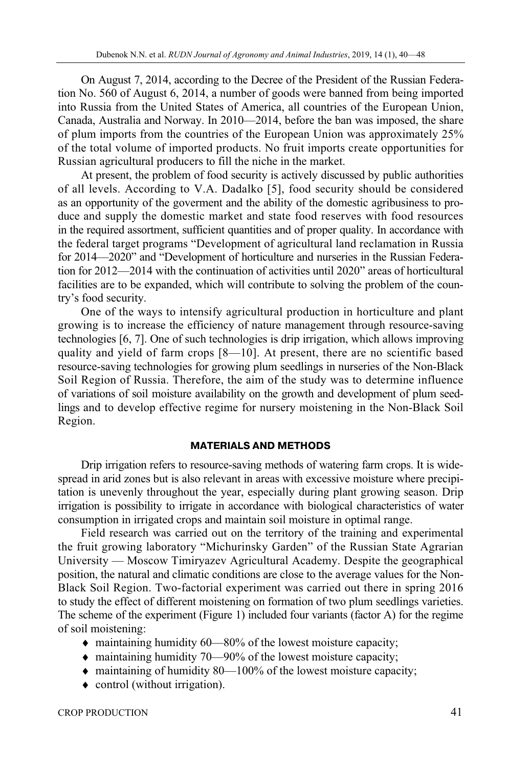On August 7, 2014, according to the Decree of the President of the Russian Federation No. 560 of August 6, 2014, a number of goods were banned from being imported into Russia from the United States of America, all countries of the European Union, Canada, Australia and Norway. In 2010—2014, before the ban was imposed, the share of plum imports from the countries of the European Union was approximately 25% of the total volume of imported products. No fruit imports create opportunities for Russian agricultural producers to fill the niche in the market.

At present, the problem of food security is actively discussed by public authorities of all levels. According to V.A. Dadalko [5], food security should be considered as an opportunity of the goverment and the ability of the domestic agribusiness to produce and supply the domestic market and state food reserves with food resources in the required assortment, sufficient quantities and of proper quality. In accordance with the federal target programs "Development of agricultural land reclamation in Russia for 2014—2020" and "Development of horticulture and nurseries in the Russian Federation for 2012—2014 with the continuation of activities until 2020" areas of horticultural facilities are to be expanded, which will contribute to solving the problem of the country's food security.

One of the ways to intensify agricultural production in horticulture and plant growing is to increase the efficiency of nature management through resource-saving technologies [6, 7]. One of such technologies is drip irrigation, which allows improving quality and yield of farm crops [8—10]. At present, there are no scientific based resource-saving technologies for growing plum seedlings in nurseries of the Non-Black Soil Region of Russia. Therefore, the aim of the study was to determine influence of variations of soil moisture availability on the growth and development of plum seedlings and to develop effective regime for nursery moistening in the Non-Black Soil Region.

### **MATERIALS AND METHODS**

Drip irrigation refers to resource-saving methods of watering farm crops. It is widespread in arid zones but is also relevant in areas with excessive moisture where precipitation is unevenly throughout the year, especially during plant growing season. Drip irrigation is possibility to irrigate in accordance with biological characteristics of water consumption in irrigated crops and maintain soil moisture in optimal range.

Field research was carried out on the territory of the training and experimental the fruit growing laboratory "Michurinsky Garden" of the Russian State Agrarian University — Moscow Timiryazev Agricultural Academy. Despite the geographical position, the natural and climatic conditions are close to the average values for the Non-Black Soil Region. Two-factorial experiment was carried out there in spring 2016 to study the effect of different moistening on formation of two plum seedlings varieties. The scheme of the experiment (Figure 1) included four variants (factor A) for the regime of soil moistening:

- maintaining humidity 60—80% of the lowest moisture capacity;
- ♦ maintaining humidity 70—90% of the lowest moisture capacity;
- ♦ maintaining of humidity 80—100% of the lowest moisture capacity;
- ♦ control (without irrigation).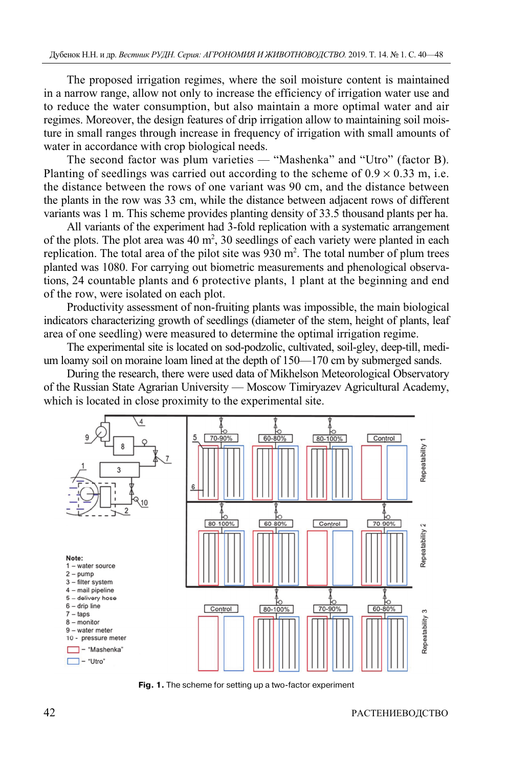The proposed irrigation regimes, where the soil moisture content is maintained in a narrow range, allow not only to increase the efficiency of irrigation water use and to reduce the water consumption, but also maintain a more optimal water and air regimes. Moreover, the design features of drip irrigation allow to maintaining soil moisture in small ranges through increase in frequency of irrigation with small amounts of water in accordance with crop biological needs.

The second factor was plum varieties — "Mashenka" and "Utro" (factor B). Planting of seedlings was carried out according to the scheme of  $0.9 \times 0.33$  m, i.e. the distance between the rows of one variant was 90 cm, and the distance between the plants in the row was 33 cm, while the distance between adjacent rows of different variants was 1 m. This scheme provides planting density of 33.5 thousand plants per ha.

All variants of the experiment had 3-fold replication with a systematic arrangement of the plots. The plot area was  $40 \text{ m}^2$ ,  $30$  seedlings of each variety were planted in each replication. The total area of the pilot site was  $930 \text{ m}^2$ . The total number of plum trees planted was 1080. For carrying out biometric measurements and phenological observations, 24 countable plants and 6 protective plants, 1 plant at the beginning and end of the row, were isolated on each plot.

Productivity assessment of non-fruiting plants was impossible, the main biological indicators characterizing growth of seedlings (diameter of the stem, height of plants, leaf area of one seedling) were measured to determine the optimal irrigation regime.

The experimental site is located on sod-podzolic, cultivated, soil-gley, deep-till, medium loamy soil on moraine loam lined at the depth of 150—170 cm by submerged sands.

During the research, there were used data of Mikhelson Meteorological Observatory of the Russian State Agrarian University — Moscow Timiryazev Agricultural Academy, which is located in close proximity to the experimental site.



Fig. 1. The scheme for setting up a two-factor experiment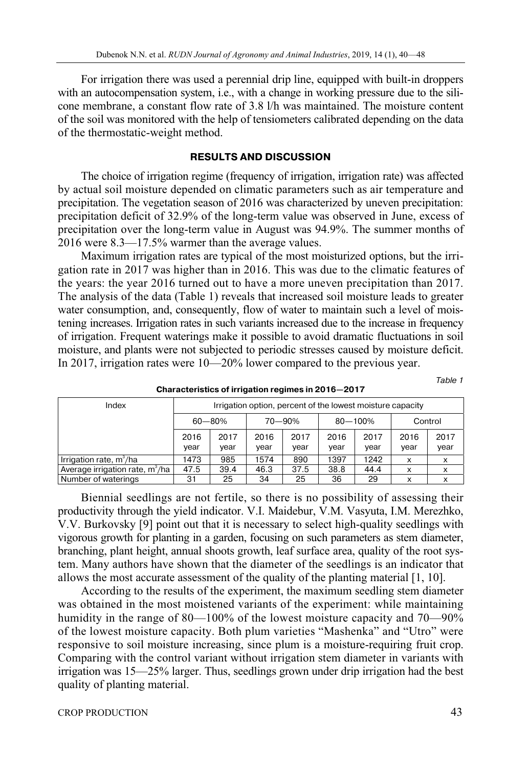For irrigation there was used a perennial drip line, equipped with built-in droppers with an autocompensation system, i.e., with a change in working pressure due to the silicone membrane, a constant flow rate of 3.8 l/h was maintained. The moisture content of the soil was monitored with the help of tensiometers calibrated depending on the data of the thermostatic-weight method.

### **RESULTS AND DISCUSSION**

The choice of irrigation regime (frequency of irrigation, irrigation rate) was affected by actual soil moisture depended on climatic parameters such as air temperature and precipitation. The vegetation season of 2016 was characterized by uneven precipitation: precipitation deficit of 32.9% of the long-term value was observed in June, excess of precipitation over the long-term value in August was 94.9%. The summer months of 2016 were 8.3—17.5% warmer than the average values.

Maximum irrigation rates are typical of the most moisturized options, but the irrigation rate in 2017 was higher than in 2016. This was due to the climatic features of the years: the year 2016 turned out to have a more uneven precipitation than 2017. The analysis of the data (Table 1) reveals that increased soil moisture leads to greater water consumption, and, consequently, flow of water to maintain such a level of moistening increases. Irrigation rates in such variants increased due to the increase in frequency of irrigation. Frequent waterings make it possible to avoid dramatic fluctuations in soil moisture, and plants were not subjected to periodic stresses caused by moisture deficit. In 2017, irrigation rates were 10—20% lower compared to the previous year.

Table 1

| Index                             | Irrigation option, percent of the lowest moisture capacity |              |              |              |              |              |              |              |
|-----------------------------------|------------------------------------------------------------|--------------|--------------|--------------|--------------|--------------|--------------|--------------|
|                                   | $60 - 80%$                                                 |              | 70 - 90%     |              | $80 - 100%$  |              | Control      |              |
|                                   | 2016<br>year                                               | 2017<br>year | 2016<br>vear | 2017<br>year | 2016<br>year | 2017<br>vear | 2016<br>year | 2017<br>year |
| Irrigation rate, $m^3/ha$         | 1473                                                       | 985          | 1574         | 890          | 1397         | 1242         | x            | х            |
| Average irrigation rate, $m^3/ha$ | 47.5                                                       | 39.4         | 46.3         | 37.5         | 38.8         | 44.4         | X            | x            |
| Number of waterings               | 31                                                         | 25           | 34           | 25           | 36           | 29           | x            | x            |

**Characteristics of irrigation regimes in 2016—2017** 

Biennial seedlings are not fertile, so there is no possibility of assessing their productivity through the yield indicator. V.I. Maidebur, V.M. Vasyuta, I.M. Merezhko, V.V. Burkovsky [9] point out that it is necessary to select high-quality seedlings with vigorous growth for planting in a garden, focusing on such parameters as stem diameter, branching, plant height, annual shoots growth, leaf surface area, quality of the root system. Many authors have shown that the diameter of the seedlings is an indicator that allows the most accurate assessment of the quality of the planting material [1, 10].

According to the results of the experiment, the maximum seedling stem diameter was obtained in the most moistened variants of the experiment: while maintaining humidity in the range of 80—100% of the lowest moisture capacity and 70—90% of the lowest moisture capacity. Both plum varieties "Mashenka" and "Utro" were responsive to soil moisture increasing, since plum is a moisture-requiring fruit crop. Comparing with the control variant without irrigation stem diameter in variants with irrigation was 15—25% larger. Thus, seedlings grown under drip irrigation had the best quality of planting material.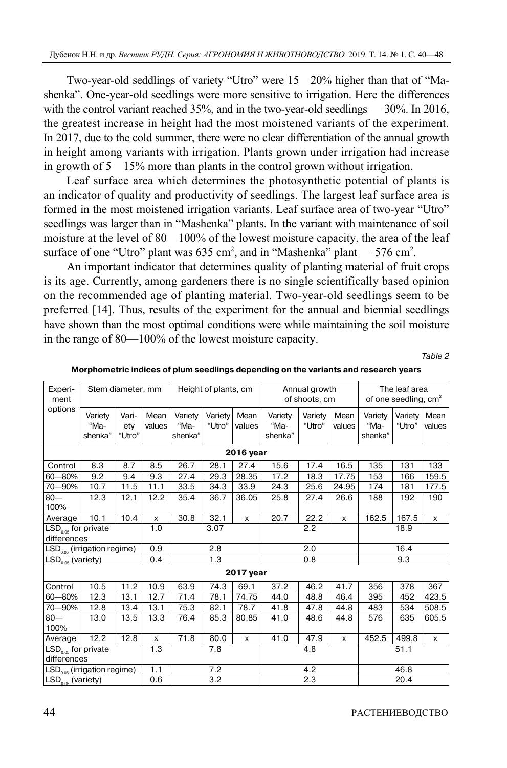Two-year-old seddlings of variety "Utro" were 15—20% higher than that of "Mashenka". One-year-old seedlings were more sensitive to irrigation. Here the differences with the control variant reached 35%, and in the two-year-old seedlings — 30%. In 2016, the greatest increase in height had the most moistened variants of the experiment. In 2017, due to the cold summer, there were no clear differentiation of the annual growth in height among variants with irrigation. Plants grown under irrigation had increase in growth of 5—15% more than plants in the control grown without irrigation.

Leaf surface area which determines the photosynthetic potential of plants is an indicator of quality and productivity of seedlings. The largest leaf surface area is formed in the most moistened irrigation variants. Leaf surface area of two-year "Utro" seedlings was larger than in "Mashenka" plants. In the variant with maintenance of soil moisture at the level of 80—100% of the lowest moisture capacity, the area of the leaf surface of one "Utro" plant was  $635 \text{ cm}^2$ , and in "Mashenka" plant —  $576 \text{ cm}^2$ .

An important indicator that determines quality of planting material of fruit crops is its age. Currently, among gardeners there is no single scientifically based opinion on the recommended age of planting material. Two-year-old seedlings seem to be preferred [14]. Thus, results of the experiment for the annual and biennial seedlings have shown than the most optimal conditions were while maintaining the soil moisture in the range of 80—100% of the lowest moisture capacity.

Table 2

| Experi-<br>ment                      | Stem diameter, mm          |                        |                | Height of plants, cm       |                   |                | Annual growth<br>of shoots, cm |                   |                | The leaf area<br>of one seedling, cm <sup>2</sup> |                   |                |
|--------------------------------------|----------------------------|------------------------|----------------|----------------------------|-------------------|----------------|--------------------------------|-------------------|----------------|---------------------------------------------------|-------------------|----------------|
| options                              | Variety<br>"Ma-<br>shenka" | Vari-<br>ety<br>"Utro" | Mean<br>values | Variety<br>"Ma-<br>shenka" | Variety<br>"Utro" | Mean<br>values | Variety<br>"Ma-<br>shenka"     | Variety<br>"Utro" | Mean<br>values | Variety<br>"Ma-<br>shenka"                        | Variety<br>"Utro" | Mean<br>values |
|                                      |                            |                        |                |                            |                   | 2016 year      |                                |                   |                |                                                   |                   |                |
| Control                              | 8.3                        | 8.7                    | 8.5            | 26.7                       | 28.1              | 27.4           | 15.6                           | 17.4              | 16.5           | 135                                               | 131               | 133            |
| 60-80%                               | $\overline{9.2}$           | 9.4                    | 9.3            | 27.4                       | 29.3              | 28.35          | 17.2                           | 18.3              | 17.75          | 153                                               | 166               | 159.5          |
| 70 - 90%                             | 10.7                       | 11.5                   | 11.1           | 33.5                       | 34.3              | 33.9           | 24.3                           | 25.6              | 24.95          | 174                                               | 181               | 177.5          |
| $80 -$<br>100%                       | 12.3                       | 12.1                   | 12.2           | 35.4                       | 36.7              | 36.05          | 25.8                           | 27.4              | 26.6           | 188                                               | 192               | 190            |
| Average                              | 10.1                       | 10.4                   | $\mathsf{x}$   | 30.8                       | 32.1              | $\mathsf{x}$   | 20.7                           | 22.2              | X              | 162.5                                             | 167.5             | X              |
| $LSD0.05$ for private<br>differences |                            |                        | 1.0            |                            | 3.07              |                |                                | 2.2               |                | 18.9                                              |                   |                |
| $LSD0.05$ (irrigation regime)        |                            |                        | 0.9            |                            | 2.8               |                |                                | 2.0               |                | 16.4                                              |                   |                |
| $LSD0.05$ (variety)                  |                            |                        | 0.4            |                            | 1.3               |                |                                | 0.8               |                | 9.3                                               |                   |                |
|                                      |                            |                        |                |                            |                   | 2017 year      |                                |                   |                |                                                   |                   |                |
| Control                              | 10.5                       | 11.2                   | 10.9           | 63.9                       | 74.3              | 69.1           | 37.2                           | 46.2              | 41.7           | 356                                               | 378               | 367            |
| 60-80%                               | 12.3                       | 13.1                   | 12.7           | 71.4                       | 78.1              | 74.75          | 44.0                           | 48.8              | 46.4           | 395                                               | 452               | 423.5          |
| 70-90%                               | 12.8                       | 13.4                   | 13.1           | 75.3                       | 82.1              | 78.7           | 41.8                           | 47.8              | 44.8           | 483                                               | 534               | 508.5          |
| $80 -$                               | 13.0                       | 13.5                   | 13.3           | 76.4                       | 85.3              | 80.85          | 41.0                           | 48.6              | 44.8           | 576                                               | 635               | 605.5          |
| 100%                                 |                            |                        |                |                            |                   |                |                                |                   |                |                                                   |                   |                |
| Average                              | 12.2                       | 12.8                   | $\mathbf X$    | 71.8                       | 80.0              | X              | 41.0                           | 47.9              | X              | 452.5                                             | 499,8             | x              |
| $LSD0.05$ for private<br>differences |                            |                        | 1.3            |                            | 7.8               |                |                                | 4.8               |                |                                                   | 51.1              |                |
| $LSD0.05$ (irrigation regime)        |                            |                        | 1.1            |                            | 7.2               | 4.2<br>46.8    |                                |                   |                |                                                   |                   |                |
| $LSD0.05$ (variety)                  |                            |                        | 0.6            |                            | 3.2               |                |                                | 2.3               |                | 20.4                                              |                   |                |

**Morphometric indices of plum seedlings depending on the variants and research years**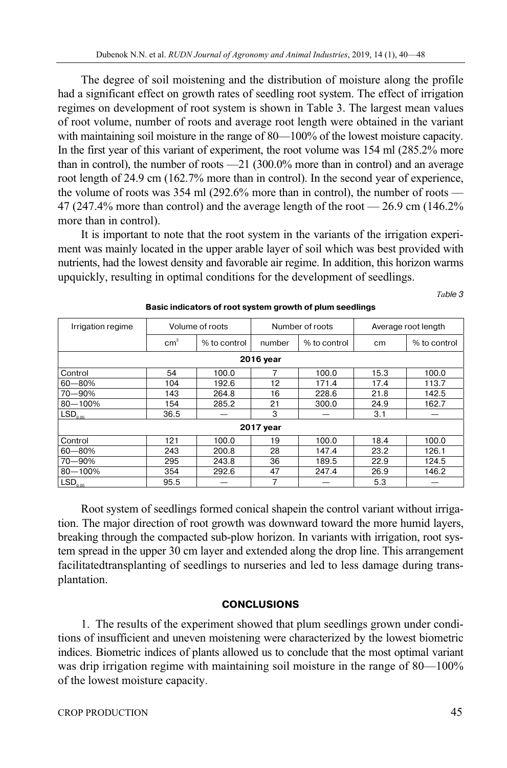The degree of soil moistening and the distribution of moisture along the profile had a significant effect on growth rates of seedling root system. The effect of irrigation regimes on development of root system is shown in Table 3. The largest mean values of root volume, number of roots and average root length were obtained in the variant with maintaining soil moisture in the range of 80—100% of the lowest moisture capacity. In the first year of this variant of experiment, the root volume was 154 ml (285.2% more than in control), the number of roots —21 (300.0% more than in control) and an average root length of 24.9 cm (162.7% more than in control). In the second year of experience, the volume of roots was 354 ml (292.6% more than in control), the number of roots — 47 (247.4% more than control) and the average length of the root — 26.9 cm (146.2% more than in control).

It is important to note that the root system in the variants of the irrigation experiment was mainly located in the upper arable layer of soil which was best provided with nutrients, had the lowest density and favorable air regime. In addition, this horizon warms upquickly, resulting in optimal conditions for the development of seedlings.

*Та*ble 3

| Irrigation regime   |                 | Volume of roots |        | Number of roots |      | Average root length |  |  |  |  |  |
|---------------------|-----------------|-----------------|--------|-----------------|------|---------------------|--|--|--|--|--|
|                     | cm <sup>3</sup> | % to control    | number | % to control    | cm   | % to control        |  |  |  |  |  |
| 2016 year           |                 |                 |        |                 |      |                     |  |  |  |  |  |
| Control             | 54              | 100.0           |        | 100.0           | 15.3 | 100.0               |  |  |  |  |  |
| $60 - 80%$          | 104             | 192.6           | 12     | 171.4           | 17.4 | 113.7               |  |  |  |  |  |
| 70-90%              | 143             | 264.8           | 16     | 228.6           | 21.8 | 142.5               |  |  |  |  |  |
| $80 - 100%$         | 154             | 285.2           | 21     | 300.0           | 24.9 | 162.7               |  |  |  |  |  |
| LSD <sub>0.05</sub> | 36.5            |                 | 3      |                 | 3.1  |                     |  |  |  |  |  |
| 2017 year           |                 |                 |        |                 |      |                     |  |  |  |  |  |
| Control             | 121             | 100.0           | 19     | 100.0           | 18.4 | 100.0               |  |  |  |  |  |
| $60 - 80%$          | 243             | 200.8           | 28     | 147.4           | 23.2 | 126.1               |  |  |  |  |  |
| 70-90%              | 295             | 243.8           | 36     | 189.5           | 22.9 | 124.5               |  |  |  |  |  |
| $80 - 100%$         | 354             | 292.6           | 47     | 247.4           | 26.9 | 146.2               |  |  |  |  |  |
| LSD <sub>0.05</sub> | 95.5            |                 | 7      |                 | 5.3  |                     |  |  |  |  |  |

#### **Basic indicators of root system growth of plum seedlings**

Root system of seedlings formed conical shapein the control variant without irrigation. The major direction of root growth was downward toward the more humid layers, breaking through the compacted sub-plow horizon. In variants with irrigation, root system spread in the upper 30 cm layer and extended along the drop line. This arrangement facilitatedtransplanting of seedlings to nurseries and led to less damage during transplantation.

## **CONCLUSIONS**

1. The results of the experiment showed that plum seedlings grown under conditions of insufficient and uneven moistening were characterized by the lowest biometric indices. Biometric indices of plants allowed us to conclude that the most optimal variant was drip irrigation regime with maintaining soil moisture in the range of 80—100% of the lowest moisture capacity.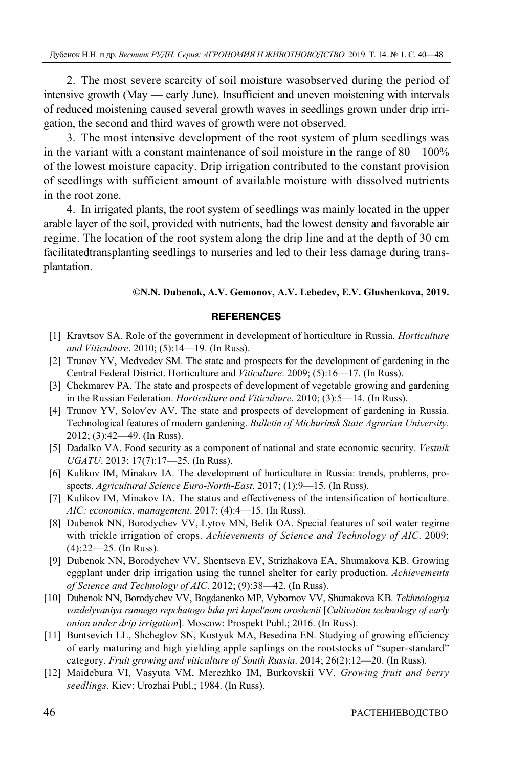2. The most severe scarcity of soil moisture wasobserved during the period of intensive growth (May — early June). Insufficient and uneven moistening with intervals of reduced moistening caused several growth waves in seedlings grown under drip irrigation, the second and third waves of growth were not observed.

3. The most intensive development of the root system of plum seedlings was in the variant with a constant maintenance of soil moisture in the range of 80—100% of the lowest moisture capacity. Drip irrigation contributed to the constant provision of seedlings with sufficient amount of available moisture with dissolved nutrients in the root zone.

4. In irrigated plants, the root system of seedlings was mainly located in the upper arable layer of the soil, provided with nutrients, had the lowest density and favorable air regime. The location of the root system along the drip line and at the depth of 30 cm facilitatedtransplanting seedlings to nurseries and led to their less damage during transplantation.

#### **©N.N. Dubenok, A.V. Gemonov, A.V. Lebedev, E.V. Glushenkova, 2019.**

#### **REFERENCES**

- [1] Kravtsov SA. Role of the government in development of horticulture in Russia. *Horticulture and Viticulture*. 2010; (5):14—19. (In Russ).
- [2] Trunov YV, Medvedev SM. The state and prospects for the development of gardening in the Central Federal District. Horticulture and *Viticulture*. 2009; (5):16—17. (In Russ).
- [3] Chekmarev PA. The state and prospects of development of vegetable growing and gardening in the Russian Federation. *Horticulture and Viticulture*. 2010; (3):5—14. (In Russ).
- [4] Trunov YV, Solov'ev AV. The state and prospects of development of gardening in Russia. Technological features of modern gardening. *Bulletin of Michurinsk State Agrarian University.* 2012; (3):42—49. (In Russ).
- [5] Dadalko VA. Food security as a component of national and state economic security. *Vestnik UGATU*. 2013; 17(7):17—25. (In Russ).
- [6] Kulikov IM, Minakov IA. The development of horticulture in Russia: trends, problems, prospects. *Agricultural Science Euro-North-East*. 2017; (1):9—15. (In Russ).
- [7] Kulikov IM, Minakov IA. The status and effectiveness of the intensification of horticulture. *AIC: economics, management*. 2017; (4):4—15. (In Russ).
- [8] Dubenok NN, Borodychev VV, Lytov MN, Belik OA. Special features of soil water regime with trickle irrigation of crops. *Achievements of Science and Technology of AIC*. 2009; (4):22—25. (In Russ).
- [9] Dubenok NN, Borodychev VV, Shentseva EV, Strizhakova EA, Shumakova KB. Growing eggplant under drip irrigation using the tunnel shelter for early production. *Achievements of Science and Technology of AIC*. 2012; (9):38—42. (In Russ).
- [10] Dubenok NN, Borodychev VV, Bogdanenko MP, Vybornov VV, Shumakova KB. *Tekhnologiya vozdelyvaniya rannego repchatogo luka pri kapel'nom oroshenii* [*Cultivation technology of early onion under drip irrigation*]. Moscow: Prospekt Publ.; 2016. (In Russ).
- [11] Buntsevich LL, Shcheglov SN, Kostyuk MA, Besedina EN. Studying of growing efficiency of early maturing and high yielding apple saplings on the rootstocks of "super-standard" category. *Fruit growing and viticulture of South Russia*. 2014; 26(2):12—20. (In Russ).
- [12] Maidebura VI, Vasyuta VM, Merezhko IM, Burkovskii VV. *Growing fruit and berry seedlings*. Kiev: Urozhai Publ.; 1984. (In Russ).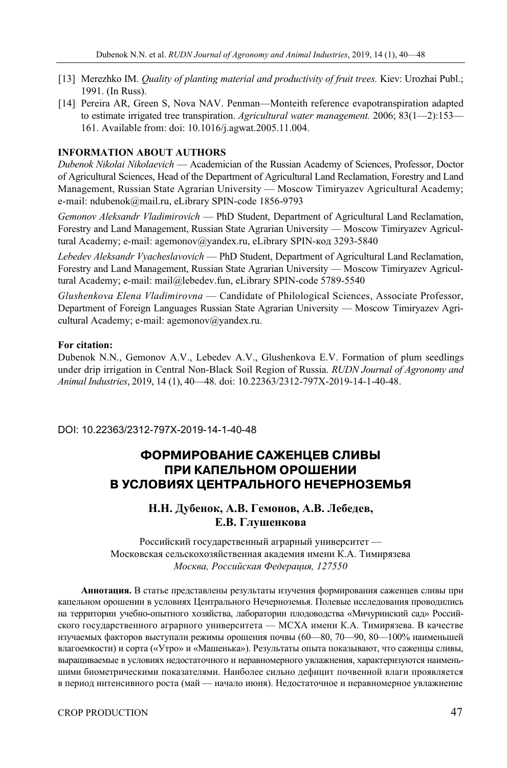- [13] Merezhko IM. *Quality of planting material and productivity of fruit trees.* Kiev: Urozhai Publ.; 1991. (In Russ).
- [14] Pereira AR, Green S, Nova NAV. Penman—Monteith reference evapotranspiration adapted to estimate irrigated tree transpiration. *Agricultural water management.* 2006; 83(1—2):153— 161. Available from: doi: 10.1016/j.agwat.2005.11.004.

#### **INFORMATION ABOUT AUTHORS**

*Dubenok Nikolai Nikolaevich* — Academician of the Russian Academy of Sciences, Professor, Doctor of Agricultural Sciences, Head of the Department of Agricultural Land Reclamation, Forestry and Land Management, Russian State Agrarian University — Moscow Timiryazev Agricultural Academy; e-mail: ndubenok@mail.ru, eLibrary SPIN-code 1856-9793

*Gemonov Aleksandr Vladimirovich* — PhD Student, Department of Agricultural Land Reclamation, Forestry and Land Management, Russian State Agrarian University — Moscow Timiryazev Agricultural Academy; e-mail: agemonov@yandex.ru, eLibrary SPIN-код 3293-5840

*Lebedev Aleksandr Vyacheslavovich* — PhD Student, Department of Agricultural Land Reclamation, Forestry and Land Management, Russian State Agrarian University — Moscow Timiryazev Agricultural Academy; e-mail: mail@lebedev.fun, eLibrary SPIN-code 5789-5540

*Glushenkova Elena Vladimirovna* — Candidate of Philological Sciences, Associate Professor, Department of Foreign Languages Russian State Agrarian University — Moscow Timiryazev Agricultural Academy; e-mail: agemonov@yandex.ru.

#### **For citation:**

Dubenok N.N., Gemonov A.V., Lebedev A.V., Glushenkova E.V. Formation of plum seedlings under drip irrigation in Central Non-Black Soil Region of Russia. *RUDN Journal of Agronomy and Animal Industries*, 2019, 14 (1), 40—48. doi: 10.22363/2312-797X-2019-14-1-40-48.

DOI: 10.22363/2312-797X-2019-14-1-40-48

# **ФОРМИРОВАНИЕ САЖЕНЦЕВ СЛИВЫ ПРИ КАПЕЛЬНОМ ОРОШЕНИИ В УСЛОВИЯХ ЦЕНТРАЛЬНОГО НЕЧЕРНОЗЕМЬЯ**

# **Н.Н. Дубенок, А.В. Гемонов, А.В. Лебедев, Е.В. Глушенкова**

Российский государственный аграрный университет — Московская сельскохозяйственная академия имени К.А. Тимирязева *Москва, Российская Федерация, 127550* 

**Аннотация.** В статье представлены результаты изучения формирования саженцев сливы при капельном орошении в условиях Центрального Нечерноземья. Полевые исследования проводились на территории учебно-опытного хозяйства, лаборатории плодоводства «Мичуринский сад» Российского государственного аграрного университета — МСХА имени К.А. Тимирязева. В качестве изучаемых факторов выступали режимы орошения почвы (60—80, 70—90, 80—100% наименьшей влагоемкости) и сорта («Утро» и «Машенька»). Результаты опыта показывают, что саженцы сливы, выращиваемые в условиях недостаточного и неравномерного увлажнения, характеризуются наименьшими биометрическими показателями. Наиболее сильно дефицит почвенной влаги проявляется в период интенсивного роста (май — начало июня). Недостаточное и неравномерное увлажнение